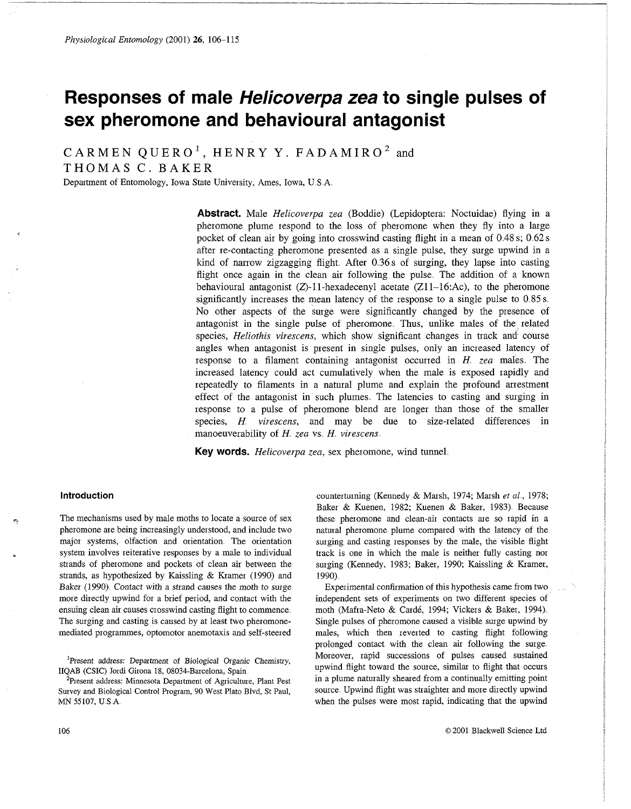# **Responses of male Helicoverpa zea to single pulses of sex pheromone and behavioural antagonist**

 $CARMENQUERO<sup>1</sup>$ , HENRY Y. FADAMIRO<sup>2</sup> and THOMAS C. BAKER

Department of Entomology, Iowa State University, Ames, Iowa, U S A

**Abstract.** Male *Hehcoverpa zea* (Boddie) (Lepidoptera: Noctuidae) flying in a pheromone plume respond to the loss of pheromone when they fly into a large pocket of clean air by going into crosswind casting flight in a mean of 0 48 s; 0 62 s after re-contacting pheromone presented as a single pulse, they surge upwind in a kind of narrow zigzagging flight. After 0.36 s of surging, they lapse into casting flight once again in the clean air following the pulse. The addition of a known behavioural antagonist  $(Z)$ -11-hexadecenyl acetate  $(Z11-16:Ac)$ , to the pheromone significantly increases the mean latency of the response to a single pulse to 0.85 s. No other aspects of the surge were significantly changed by the presence of antagonist in the single pulse of pheromone Thus, unlike males of the related species, *Heliothis virescens,* which show significant changes in track and course angles when antagonist is present in single pulses, only an increased latency of response to a filament containing antagonist occurred in *H zea* males The increased latency could act cumulatively when the male is exposed rapidly and repeatedly to filaments in a natural plume and explain the profound arrestment effect of the antagonist in such plumes The latencies to casting and surging in response to a pulse of pheromone blend are longer than those of the smaller species, H *virescens,* and may be due to size-related differences in manoeuverability of *H. zea* vs. *H. virescens*.

**Key words.** *Helicoverpa zea,* sex pheromone, wind tunnel

# **Introduction**

The mechanisms used by male moths to locate a source of sex pheromone are being increasingly understood, and include two major systems, olfaction and orientation The orientation system involves reiterative responses by a male to individual strands of pheromone and pockets of clean air between the stiands, as hypothesized by Kaissling & Kramer (1990) and Baker (1990). Contact with a strand causes the moth to surge more directly upwind for a brief period, and contact with the ensuing clean air causes crosswind casting flight to commence The surging and casting is caused by at least two pheromonemediated programmes, optomotor anemotaxis and self-steered

<sup>1</sup>Present address: Department of Biological Organic Chemistry, IIQAB (CSIC) Jordi Girona 18, 08034-Barcelona, Spain.

<sup>2</sup>Present address: Minnesota Department of Agriculture, Plant Pest Survey and Biological Control Program, 90 West Plato Blvd, St Paul, MN 5510'7, U S **A** 

counterturning (Kennedy & Marsh, 1974; Marsh *et* a1 , 1978; Baker & Kuenen, 1982; Kuenen & Baker, 1983) Because these pheromone and clean-air contacts are so rapid in a natural pheromone plume compared with the latency of the surging and casting responses by the male, the visible flight track is one in which the male is neither fully casting nor surging (Kennedy, 1983; Baker, 1990; Kaissling & Kramer, 1990)

Experimental confirmation of this hypothesis came from two independent sets of experiments on two different species of moth (Mafra-Neto & Cardé, 1994; Vickers & Baker, 1994). Single pulses of pheromone caused a visible surge upwind by males, which then reverted to casting flight following prolonged contact with the clean air following the surge Moreover, rapid successions of pulses caused sustained upwind flight toward the source, similar to flight that occurs in a plume naturally sheared from a continually emitting point source Upwind flight was straighter and more directly upwind when the pulses were most rapid, indicating that the upwind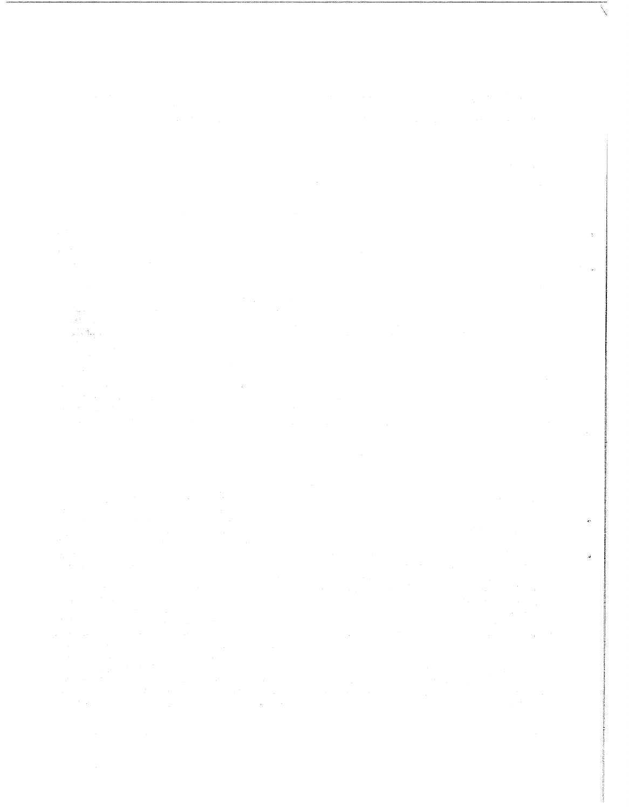$\frac{\partial \mathbf{y}}{\partial t}$ 

 $\downarrow$ 

 $\ddot{\mathbf{u}}$ 

 $\label{eq:2.1} \begin{split} \mathcal{E}_{\mathbf{z}}(\mathbf{z}) &= \mathcal{E}_{\mathbf{z}}(\mathbf{z}) \\ &\mathcal{E}_{\mathbf{z}}(\mathbf{z}) &= \mathcal{E}_{\mathbf{z}}(\mathbf{z}) \end{split}$  $\frac{1}{2} \left( \frac{1}{2} \sqrt{2} \frac{1}{\log(2\pi \epsilon)} \right)$ 

 $\sim$ 

 $\label{eq:1} \frac{1}{\sqrt{2}}\int_{\mathbb{R}^{2}}\left|\frac{d\mathbf{y}}{d\mathbf{x}}\right|^{2}dx\leq\frac{1}{2}\int_{\mathbb{R}^{2}}\left|\frac{d\mathbf{y}}{d\mathbf{x}}\right|^{2}dx\leq\frac{1}{2}\int_{\mathbb{R}^{2}}\left|\frac{d\mathbf{y}}{d\mathbf{x}}\right|^{2}dx.$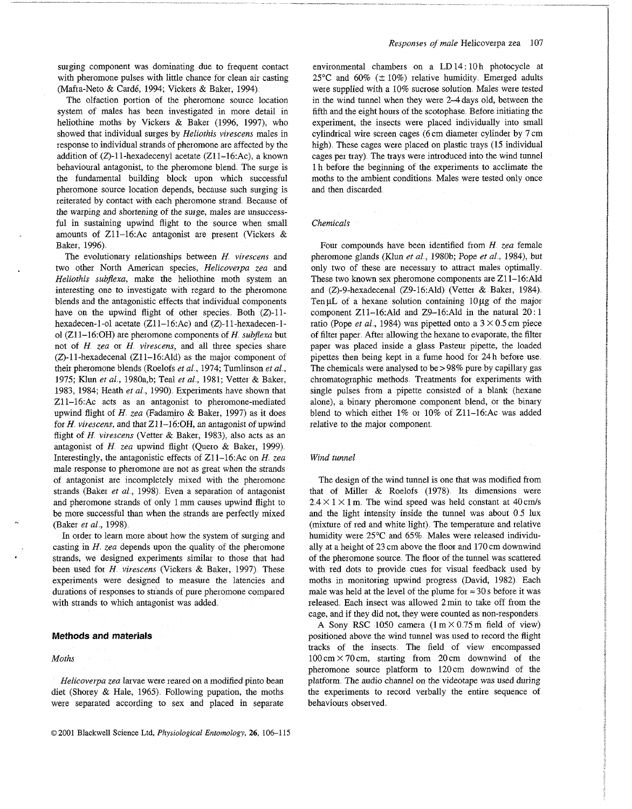The olfaction portion of the pheromone source location system of males has been investigated in more detail in heliothine moths by Vickers & Baker (1996, 1997), who showed that individual surges by *Heliothis virescens* males in response to individual strands of pheromone are affected by the addition of  $(Z)$ -11-hexadecenyl acetate  $(Z11-16:Ac)$ , a known behavioural antagonist, to the pheromone blend. The surge is the fundamental building block upon which successful pheromone source location depends, because such surging is reiterated by contact with each pheromone strand. Because of the warping and shortening of the surge, males are unsuccessful in sustaining upwind flight to the source when small amounts of Zll-16:Ac antagonist are present (Vickers & Baker, 1996)

The evolutionary relationships between *H* virescens and two other North American species, *Hehcoverpa zea* and *Heliothis subflexa,* make the heliothine moth system an interesting one to investigate with regard to the pheromone blends and the antagonistic effects that individual components have on the upwind flight of other species. Both  $(Z)$ -11hexadecen-1-ol acetate  $(Z11-16:Ac)$  and  $(Z)$ -11-hexadecen-1-01 (Z11-16:OH) are pheromone components of *H subflexa* but not of *H zea* or *H virescens,* and all three species share  $(Z)$ -11-hexadecenal  $(Z11-16:$ Ald) as the major component of their pheromone blends (Roelofs *et a1* , 1974; Tumlinson *et a1* , 1975; Klun *et a1* , 1980a,b; Teal *et a1* , 1981; Vetter & Baker, 1983, 1984; Heath *et a1* , 1990) Experiments have shown that Zll-16:Ac acts as an antagonist to pheromone-mediated upwind flight of H *zea* (Fadamiro & Baker, 1997) as it does for *H virescens,* and that Zll-16:OH, an antagonist of upwind flight of *H virescens* (Vetter & Baker, 1983), also acts as an antagonist of *H zea* upwind flight (Quero & Baker, 1999). Interestingly, the antagonistic effects of Zll-16:Ac on *H zea*  male response to pheromone are not as great when the strands of antagonist are incompletely mixed with the pheromone strands (Baker *et al,* 1998) Even a separation of antagonist and pheromone strands of only 1 mm causes upwind flight to be more successful than when the strands are perfectly mixed (Baker *et al.*, 1998).

In order to learn more about how the system of surging and casting in *H zea* depends upon the quality of the pheromone strands, we designed experiments similar to those that had been used for H *virescens* (Vickers & Baker, 1997) These experiments were designed to measure the latencies and durations of responses to strands of pure pheromone compared with strands to which antagonist was added

# **Methods and materials**

# *Moths*

*Helicoverpa zea* larvae were reared on a modified pinto bean diet (Shorey & Hale, 1965) Following pupation, the moths were separated according to sex and placed in separate environmental chambers on a LD 14: 10h photocycle at  $25^{\circ}$ C and  $60\%$  ( $\pm 10\%$ ) relative humidity. Emerged adults were supplied with a 10% sucrose solution Males were tested in the wind tunnel when they were 2-4days old, between the fifth and the eight hours of the scotophase. Before initiating the experiment, the insects were placed individually into small cylindrical wire screen cages (6 cm diameter cylinder by 7cm high). These cages were placed on plastic trays (15 individual cages per tray) The trays were introduced into the wind tunnel 1 h before the beginning of the experiments to acclimate the moths to the ambient conditions Males were tested only once and then discarded

#### *Chemicals*

Four compounds have been identified from *H* zea female pheromone glands (Klun *et a1* , 1980b; Pope *et al* , 1984), but only two of these are necessary to attract males optimally These two known sex pheromone components are Z11-16:Ald and (2)-9-hexadecenal (Z9-16:Ald) (Vetter & Baker, 1984) TenµL of a hexane solution containing  $10\,\mu$ g of the major component Zll-16:Ald and Z9-16:Ald in the natural 20: 1 ratio (Pope *et al.*, 1984) was pipetted onto a  $3 \times 0.5$  cm piece of filter paper After allowing the hexane to evaporate, the filter paper was placed inside a glass Pasteur pipette, the loaded pipettes then being kept in a fume hood for 24 h before use The chemicals were analysed to be > 98% pure by capillary gas chromatographic methods Treatments for experiments with single pulses from a pipette consisted of a blank (hexane alone), a binary pheromone component blend, or the binary blend to which either 1% or 10% of Zll-16:Ac was added relative to the major component

#### *Wind tunnel*

The design of the wind tunnel is one that was modified from that of Miller & Roelofs (1978) Its dimensions were  $2.4 \times 1 \times 1$  m. The wind speed was held constant at 40 cm/s and the light intensity inside the tunnel was about  $0.5$  lux (mixture of red and white light) The temperature and relative humidity were 25°C and 65%. Males were released individually at a height of 23 cm above the floor and 170 cm downwind of the pheromone source The floor of the tunnel was scattered with red dots to provide cues for visual feedback used by moths in monitoring upwind progress (David, 1982) Each male was held at the level of the plume for  $\approx 30$  s before it was released. Each insect was allowed 2 min to take off from the cage, and if they did not, they were counted as non-responders

A Sony RSC 1050 camera  $(1 \text{ m} \times 0.75 \text{ m}$  field of view) positioned above the wind tunnel was used to record the flight tracks of the insects The field of view encompassed  $100 \text{ cm} \times 70 \text{ cm}$ , starting from 20 cm downwind of the pheromone source platform to 120cm downwind of the platform The audio channel on the videotape was used during the experiments to record verbally the entire sequence of behaviours observed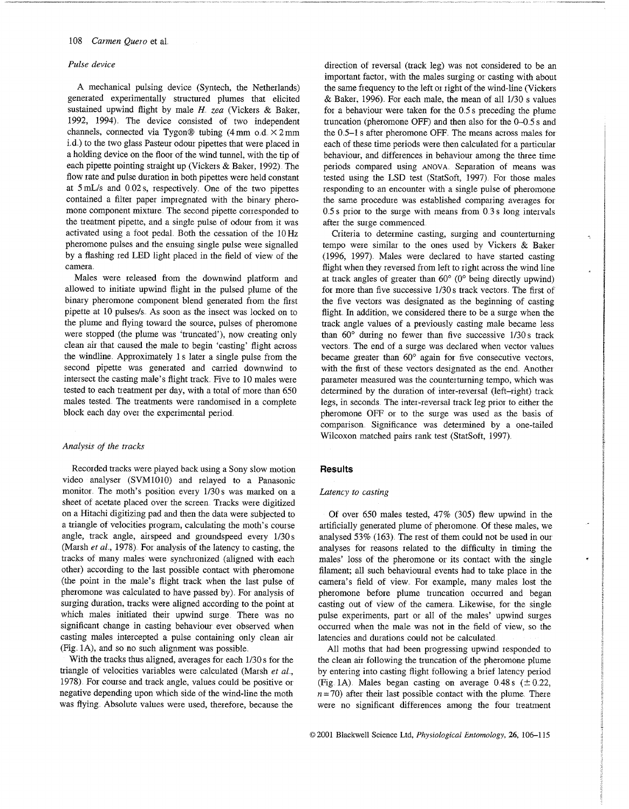# 108 *Carmen Quero* et a1

#### *Pulse device*

A mechanical pulsing device (Syntech, the Netherlands) generated experimentally structured plumes that elicited sustained upwind flight by male H *zea* (Vickers & Baker, 1992, 1994) The device consisted of two independent channels, connected via Tygon® tubing  $(4 \text{ mm } \text{o.d.} \times 2 \text{ mm})$ i.d.) to the two glass Pasteur odour pipettes that were placed in a holding device on the floor of the wind tunnel, with the tip of each pipette pointing straight up (Vickers & Baker, 1992) The flow rate and pulse duration in both pipettes were held constant at  $5$  mL/s and  $0.02$  s, respectively. One of the two pipettes contained a filter paper impregnated with the binary pheromone component mixture. The second pipette corresponded to the treatment pipette, and a single pulse of odour from it was activated using a foot pedal Both the cessation of the 10Hz pheromone pulses and the ensuing single pulse were signalled by a flashing red LED light placed in the field of view of the camera

Males were released from the downwind platform and allowed to initiate upwind flight in the pulsed plume of the binary pheromone component blend generated from the first pipette at 10 pulses/s. As soon as the insect was locked on to the plume and flying toward the source, pulses of pheromone were stopped (the plume was 'truncated'), now creating only clean air that caused the male to begin 'casting' flight across the windline Approximately 1 s later a single pulse from the second pipette was generated and canied downwind to intersect the casting male's flight track Five to 10 males were tested to each treatment per day, with a total of more than 650 males tested The treatments were randomised in a complete block each day over the experimental period

# *Analysis of the tracks*

Recorded tracks were played back using a Sony slow motion video analyser (SVM1010) and relayed to a Panasonic monitor. The moth's position every 1/30 s was marked on a sheet of acetate placed over the screen Tracks were digitized on a Hitachi digitizing pad and then the data were subjected to a triangle of velocities program, calculating the moth's course angle, track angle, airspeed and groundspeed every 1/30 s (Marsh *et al.*, 1978). For analysis of the latency to casting, the tracks of many males were synchronized (aligned with each other) according to the last possible contact with pheromone (the point in the male's flight track when the last pulse of pheromone was calculated to have passed by). For analysis of surging duration, tracks were aligned according to the point at which males initiated their upwind surge There was no significant change in casting behaviour ever observed when casting males intercepted a pulse containing only clean air (Fig. 1A), and so no such alignment was possible.

With the tracks thus aligned, averages for each 1/30 s for the triangle of velocities variables were calculated (Marsh *et a1* , 1978) For course and track angle, values could be positive or negative depending upon which side of the wind-line the moth was flying Absolute values were used, therefore, because the

direction of reversal (track leg) was not considered to be an important factor, with the males surging or casting with about the same frequency to the left 01 right of the wind-line (Vickers & Baker, 1996) For each male, the mean of all 1/30 s values for a behaviour were taken for the 0 5 s preceding the plume truncation (pheromone OFF) and then also for the 0-0 5 s and the 0.5–1 s after pheromone OFF. The means across males for each of these time periods were then calculated for a particular behaviour, and differences in behaviour among the three time periods compared using **ANOVA** Separation of means was tested using the LSD test (StatSoft, 1997). For those males responding to an encounter with a single pulse of pheromone the same procedure was established comparing averages for 0.5 s prior to the surge with means from 0.3 s long intervals after the surge commenced

Criteria to determine casting, surging and counterturning tempo were similar to the ones used by Vickers & Baker (1996, 1997) Males were declared to have started casting flight when they reversed from left to right across the wind line at track angles of greater than  $60^{\circ}$  (0 $^{\circ}$  being directly upwind) for more than five successive 1/30 s track vectors. The first of the five vectors was designated as the beginning of casting flight. In addition, we considered there to be a surge when the track angle values of a previously casting male became less than  $60^{\circ}$  during no fewer than five successive  $1/30s$  track vectors The end of a surge was declared when vector values became greater than 60° again for five consecutive vectors, with the first of these vectors designated as the end. Another parameter measured was the counterturning tempo, which was determined by the duration of inter-reversal (left-right) track legs, in seconds The inter-reversal track leg prior to either the pheromone OFF or to the surge was used as the basis of comparison Significance was determined by a one-tailed Wilcoxon matched pairs rank test (StatSoft, 1997)

# **Results**

# *Latency to casting*

Of over 650 males tested, 47% (305) flew upwind in the artificially generated plume of pheromone Of these males, we analysed 53% (163) The rest of them could not be used in our analyses for reasons related to the difficulty in timing the males' loss of the pheromone or its contact with the single filament; all such behavioural events had to take place in the camera's field of view For example, many males lost the pheromone before plume truncation occuned and began casting out of view of the camera Likewise, for the single pulse experiments, part or all of the males' upwind surges occurred when the male was not in the field of view, so the latencies and durations could not be calculated

All moths that had been progressing upwind responded to the clean air following the truncation of the pheromone plume by entering into casting flight following a brief latency period (Fig 1A) Males began casting on average  $0.48 s$  ( $\pm 0.22$ ,  $n = 70$ ) after their last possible contact with the plume. There were no significant differences among the four treatment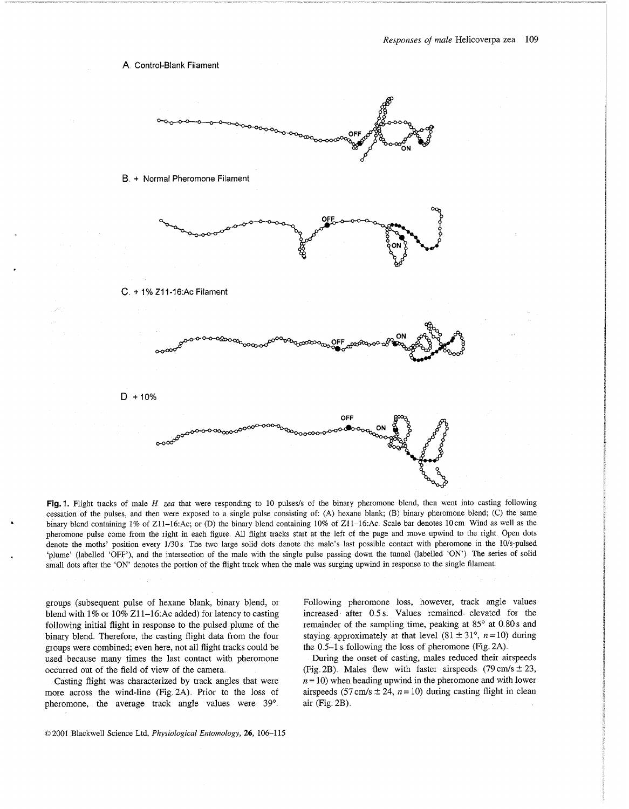#### A Control-Blank Filament





Fig. 1. Flight tracks of male H *zea* that were responding to 10 pulses/s of the binary pheromone blend, then went into casting following cessation of the pulses, and then were exposed to a single pulse consisting of: (A) hexane blank; (B) binary pheromone blend; (C) the same binary blend containing 1% of Zll-16:Ac; 01 (D) the binary blend containing 10% of Zll-16:Ac Scale bar denotes 10cm Wind as well as the pheromone pulse come from the right in each figure. All flight tracks start at the left of the page and move upwind to the right. Open dots denote the moths' position every 1130s The two large solid dots denote the male's last possible contact with pheromone in the 101s-pulsed 'plume' (labelled 'OFF'), and the intersection of the male with the single pulse passing down the tunnel (labelled 'ON') The series of solid small dots after the 'ON' denotes the portion of the flight track when the male was surging upwind in response to the single filament

groups (subsequent pulse of hexane blank, binary blend, or blend with 1% or 10% Z11-16:Ac added) for latency to casting following initial flight in response to the pulsed plume of the binary blend. Therefore, the casting flight data from the four groups were combined; even here, not all flight tracks could be used because many times the last contact with pheromone occuned out of the field of view of the camera

Casting flight was characterized by track angles that were more across the wind-line (Fig 2A) Prior to the loss of pheromone, the average track angle values were 39'

Following pheromone loss, however, track angle values increased after 0 5 s Values remained elevated for the remainder of the sampling time, peaking at 85° at 0.80s and staying approximately at that level  $(81 \pm 31^{\circ}, n=10)$  during the  $0.5-1$  s following the loss of pheromone (Fig. 2A).

During the onset of casting, males reduced their airspeeds (Fig. 2B). Males flew with faster airspeeds  $(79 \text{ cm/s} \pm 23,$  $n = 10$ ) when heading upwind in the pheromone and with lower airspeeds  $(57 \text{ cm/s} \pm 24, n=10)$  during casting flight in clean air (Fig. 2B).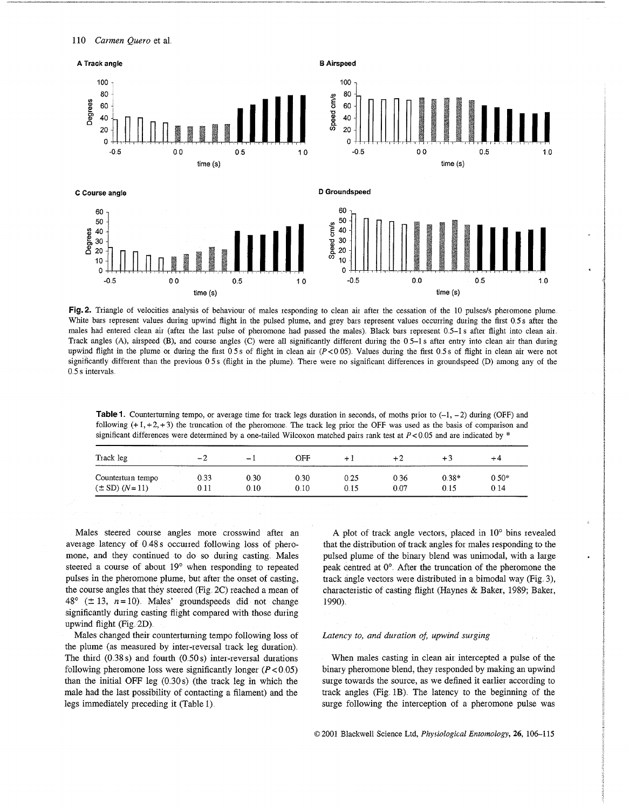

Fig. 2. Triangle of velocities analysis of behaviour of males responding to clean air after the cessation of the 10 pulses/s pheromone plume White bars represent values during upwind flight in the pulsed plume, and grey bars represent values occurring during the first 0.5s after the males had entered clean air (after the last pulse of pheromone had passed the males) Black bars represent *0 5-1* s after flight into clean air Track angles (A), airspeed (B), and course angles (C) were all significantly different during the *0 5-1* s after entry into clean air than during upwind flight in the plume or during the first 0.5 s of flight in clean air  $(P<0.05)$ . Values during the first 0.5 s of flight in clean air were not significantly different than the previous 05 s (flight in the plume). There were no significant differences in groundspeed (D) among any of the *0 5* s intervals

**Table 1.** Counterturning tempo, or average time for track legs duration in seconds, of moths prior to  $(-1, -2)$  during (OFF) and following  $(+1, +2, +3)$  the truncation of the pheromone. The track leg prior the OFF was used as the basis of comparison and significant differences were determined by a one-tailed Wilcoxon matched pairs rank test at *P<0 05* and are indicated by \*

| . .<br>Track leg  | $-4$  | $\equiv$ | OFF  | $+1$ | $+2$ | +∴      | $+4$    |  |
|-------------------|-------|----------|------|------|------|---------|---------|--|
| Counterturn tempo | 0.33  | 0.30     | 0.30 | 0.25 | 0.36 | $0.38*$ | $0.50*$ |  |
| $(\pm SD)$ (N=11) | 0 1 1 | 0.10     | 0.10 | 0.15 | 0.07 | 0.15    | 0.14    |  |

Males steered course angles more crosswind after an average latency of 0 48 s occurred following loss of pheromone, and they continued to do so during casting Males steered a course of about 19° when responding to repeated pulses in the pheromone plume, but after the onset of casting, the course angles that they steered (Fig 2C) reached a mean of 48°  $(\pm 13, n=10)$  Males' groundspeeds did not change significantly during casting flight compared with those during upwind flight (Fig. 2D).

Males changed their counterturning tempo following loss of the plume (as measured by inter-reversal track leg duration) The third  $(0.38 s)$  and fourth  $(0.50 s)$  inter-reversal durations following pheromone loss were significantly longer  $(P < 0.05)$ than the initial OFF leg  $(0.30s)$  (the track leg in which the male had the last possibility of contacting a filament) and the legs immediately preceding it (Table 1)

A plot of track angle vectors, placed in 10' bins revealed that the distribution of track angles for males responding to the pulsed plume of the binary blend was unimodal, with a large peak centred at 0' After the truncation of the pheromone the track angle vectors were distributed in a bimodal way (Fig 3), characteristic of casting flight (Haynes & Baker, 1989; Baker, 1990)

#### Latency to, and duration **of,** upwind surging

When males casting in clean air intercepted a pulse of the binary pheromone blend, they responded by making an upwind suige towards the source, as we defined it earlier according to track angles (Fig 1B) The latency to the beginning of the surge following the interception of a pheromone pulse was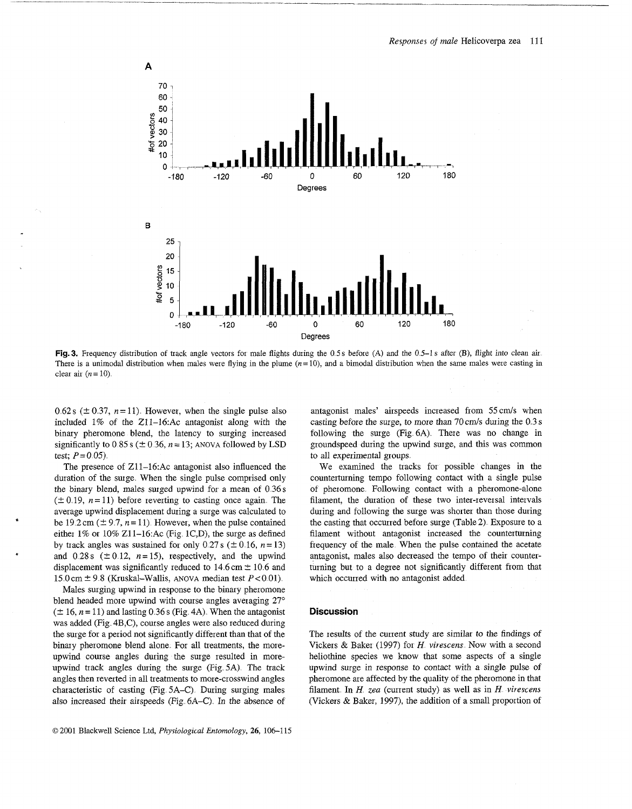

**--A** -- -- - -- -- -- --

Fig. 3. Frequency distribution of track angle vectors for male flights during the 0.5 s before (A) and the 0.5-1 s after (B), flight into clean air. There is a unimodal distribution when males were flying in the plume  $(n = 10)$ , and a bimodal distribution when the same males were casting in clear air  $(n = 10)$ .

0.62 s ( $\pm$  0.37, *n*=11). However, when the single pulse also included 1% of the Zll-16:Ac antagonist along with the binary pheromone blend, the latency to surging increased significantly to  $0.85$  s ( $\pm 0.36$ ,  $n = 13$ ; ANOVA followed by LSD test;  $P = 0.05$ ).

The presence of Zll-16:Ac antagonist also influenced the duration of the surge When the single pulse comprised only the binary blend, males surged upwind for a mean of  $0.36s$  $(\pm 0.19, n = 11)$  before reverting to casting once again. The average upwind displacement during a surge was calculated to be  $19.2 \text{ cm } (\pm 9.7, n = 11)$ . However, when the pulse contained either  $1\%$  or  $10\%$  Z11–16:Ac (Fig. 1C,D), the surge as defined by track angles was sustained for only 0.27 s  $(\pm 0.16, n=13)$ and  $0.28s$  ( $\pm 0.12$ ,  $n=15$ ), respectively, and the upwind displacement was significantly reduced to  $14.6 \text{ cm} \pm 10.6$  and 15.0 cm  $\pm$  9.8 (Kruskal–Wallis, ANOVA median test  $P < 0.01$ ).

Males surging upwind in response to the binary pheromone blend headed more upwind with course angles averaging 27°  $(± 16, n = 11)$  and lasting 0.36 s (Fig. 4A). When the antagonist was added (Fig. 4B,C), course angles were also reduced during the surge for a period not significantly different than that of the binary pheromone blend alone. For all treatments, the moreupwind course angles during the surge resulted in moreupwind track angles during the surge (Fig 5A) The track angles then reverted in all treatments to more-crosswind angles characteristic of casting (Fig 5A-C) During surging males also increased their airspeeds (Fig 6A-C) In the absence of antagonist males' airspeeds increased from 55cm/s when casting before the surge, to more than 70 cm/s during the 0.3 s following the surge (Fig 6A) There was no change in groundspeed during the upwind surge, and this was common to all experimental groups

We examined the tracks for possible changes in the counterturning tempo following contact with a single pulse of pheromone Following contact with a pheromone-alone filament, the duration of these two inter-reversal intervals during and following the surge was shorter than those during the casting that occurred before surge (Table 2). Exposure to a filament without antagonist increased the counterturning frequency of the male When the pulse contained the acetate antagonist, males also decreased the tempo of their counterturning but to a degree not significantly different from that which occurred with no antagonist added

#### **Discussion**

The results of the current study are similar to the findings of Vickers & Baker (1997) for H *virescens*. Now with a second heliothine species we know that some aspects of a single upwind surge in response to contact with a single pulse of pheromone are affected by the quality of the pheromone in that filament In H *zea* (current study) as well as in H *virescens*  (Vickers  $&$  Baker, 1997), the addition of a small proportion of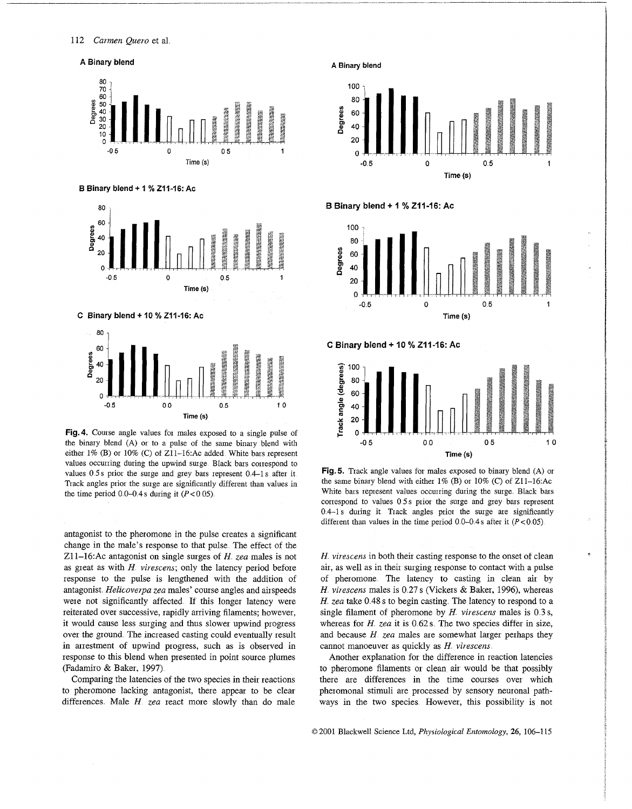

**B Binary blend** + **I** % **211-16: Ac** 







**Fig.4.** Course angle values for males exposed to a single pulse of the binary blend (A) or to a pulse of the same binary blend with either 1% (B) or 10% (C) of Zll-16:Ac added White bas represent values occurring during the upwind surge Black bas correspond to values 0 *5* s prior the surge and grey bars represent 0 4-1 s after it Track angles prior the surge are significantly different than values in the time period  $0.0-0.4$  s during it ( $P < 0.05$ ).

antagonist to the pheromone in the pulse creates a significant change in the male's response to that pulse The effect of the Zll-16:Ac antagonist on single surges of *H zea* males is not as great as with *H virescens;* only the latency period before response to the pulse is lengthened with the addition of antagonist. Helicoverpa zea males' course angles and airspeeds were not significantly affected If this longer latency were reiterated over successive, rapidly arriving filaments; however, it would cause less surging and thus slower upwind progress over the ground. The increased casting could eventually result in arrestment of upwind progress, such as is observed in response to this blend when presented in point source plumes (Fadamiro & Baker, 1997)

Comparing the latencies of the two species in their reactions to pheromone lacking antagonist, there appear to be clear differences Male *H zea* react more slowly than do male



**B Binary blend** <sup>+</sup>**I** % **211 -16: Ac** 



**C Binary blend** + **I0** % **Zll-I 6: Ac** 



**Fig. 5.** Track angle values for males exposed to binary blend (A) or the same binary blend with either 1% (B) or 10% (C) of Zll-16:Ac White bars represent values occurring during the surge. Black bars correspond to values 0 5s prior the surge and grey bas represent 0 4-1 s duing it Track angles prior the suge are significantly different than values in the time period  $0.0-0.4$  s after it ( $P < 0.05$ )

*H. virescens* in both their casting response to the onset of clean air, as well as in their suging response to contact with a pulse of pheromone The latency to casting in clean air by H. virescens males is 0.27 s (Vickers & Baker, 1996), whereas *H* zea take 0.48 s to begin casting. The latency to respond to a single filament of pheromone by *H virescens* males is *0* 3 s, whereas for  $H$  zea it is  $0.62$  s. The two species differ in size, and because H *zea* males are somewhat larger perhaps they cannot manoeuver as quickly as *H virescens* 

Another explanation for the difference in reaction latencies to pheromone filaments or clean air would be that possibly there are differences in the time courses over which pheromonal stimuli are processed by sensory neuronal pathways in the two species However, this possibility is not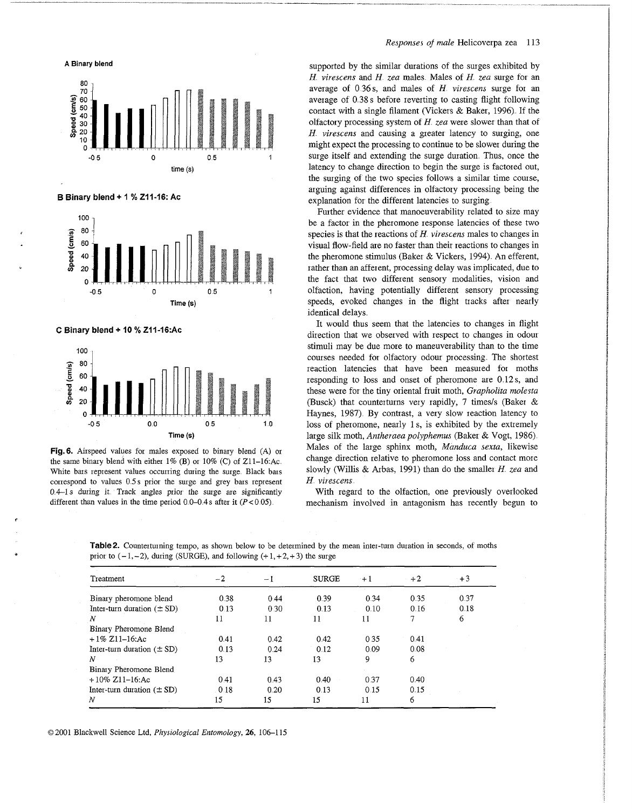

**B Binary blend** + I % **211-16: Ac** 



**C Binary blend + 10 % Z11-16:Ac** 



**Fig.6.** Airspeed values for males exposed to binary blend (A) or the same binary blend with either  $1\%$  (B) or  $10\%$  (C) of  $Z11-16$ :Ac. White bars represent values occurring during the surge. Black bars correspond to values  $0.5 s$  prior the surge and grey bars represent 0.4-1 s during it. Track angles prior the surge are significantly different than values in the time period  $0.0-0.4$  s after it  $(P<0.05)$ .

H *virescens* and *H zea* males Males of H *zea* surge for an average of 0 36s, and males of H *vlrescens* surge for an average of 0 38 s before reverting to casting flight following contact with a single filament (Vickers  $\&$  Baker, 1996). If the olfactory processing system of H *zea* were slower than that of H *virescens* and causing a greater latency to surging, one might expect the processing to continue to be slower during the surge itself and extending the surge duration Thus, once the latency to change direction to begin the surge is factored out, the surging of the two species follows a similar time course, arguing against differences in olfactory processing being the explanation for the different latencies to surging

Further evidence that manoeuverability related to size may be a factor in the pheromone response latencies of these two species is that the reactions of H *virescens* males to changes in visual flow-field are no faster than their reactions to changes in the pheromone stimulus (Baker & Vickers, 1994). An efferent, rather than an afferent, processing delay was implicated, due to the fact that two different sensory modalities, vision and olfaction, having potentially different sensory processing speeds, evoked changes in the flight tracks after nearly identical delays

It would thus seem that the latencies to changes in flight direction that we observed with respect to changes in odour stimuli may be due more to maneuverability than to the time courses needed for olfactory odour processing The shortest reaction latencies that have been measured for moths responding to loss and onset of pheromone are  $0.12$ s, and these were for the tiny oriental fruit moth, *Grapholita molesta* (Busck) that counterturns very rapidly, 7 times/s (Baker  $\&$ Haynes, 1987). By contrast, a very slow reaction latency to loss of pheromone, nearly 1 s, is exhibited by the extremely large silk moth, *Antheraea polyphemus* (Baker & Vogt, 1986) Males of the lage sphinx moth, *Manduca sexta,* likewise change direction relative to pheromone loss and contact more slowly (Willis & Arbas, 1991) than do the smaller H *zea* and *H vlrescens* 

With regard to the olfaction, one previously overlooked mechanism involved in antagonism has recently begun to

| Treatment                      | $-2$ | - 1  | <b>SURGE</b> | $+1$ | $+2$ | $+3$ |
|--------------------------------|------|------|--------------|------|------|------|
| Binary pheromone blend         | 0.38 | 0.44 | 0.39         | 0.34 | 0.35 | 0.37 |
| Inter-turn duration $(\pm SD)$ | 0.13 | 0.30 | 0.13         | 0.10 | 0.16 | 0.18 |
| N                              | 11   | 11   | 11           | 11   | 7    | 6    |
| Binary Pheromone Blend         |      |      |              |      |      |      |
| $+1\%$ Z <sub>11</sub> -16:Ac  | 0.41 | 0.42 | 0.42         | 0.35 | 0.41 |      |
| Inter-turn duration $(\pm SD)$ | 0.13 | 0.24 | 0.12         | 0.09 | 0.08 |      |
| N                              | 13   | 13   | 13           | 9    | 6    |      |
| Binary Pheromone Blend         |      |      |              |      |      |      |
| $+10\%$ Z11-16:Ac              | 0.41 | 0.43 | 0.40         | 0.37 | 0.40 |      |
| Inter-turn duration $(\pm SD)$ | 0.18 | 0.20 | 0.13         | 0.15 | 0.15 |      |
| N                              | 15   | 15   | 15           | 11   | 6    |      |

**Table 2.** Counterturning tempo, as shown below to be determined by the mean inter-turn duration in seconds, of moths prior to  $(-1, -2)$ , during (SURGE), and following  $(+1, +2, +3)$  the surge

0 2001 Blackwell Science Ltd, Physiological Entomology, *26,* 106-115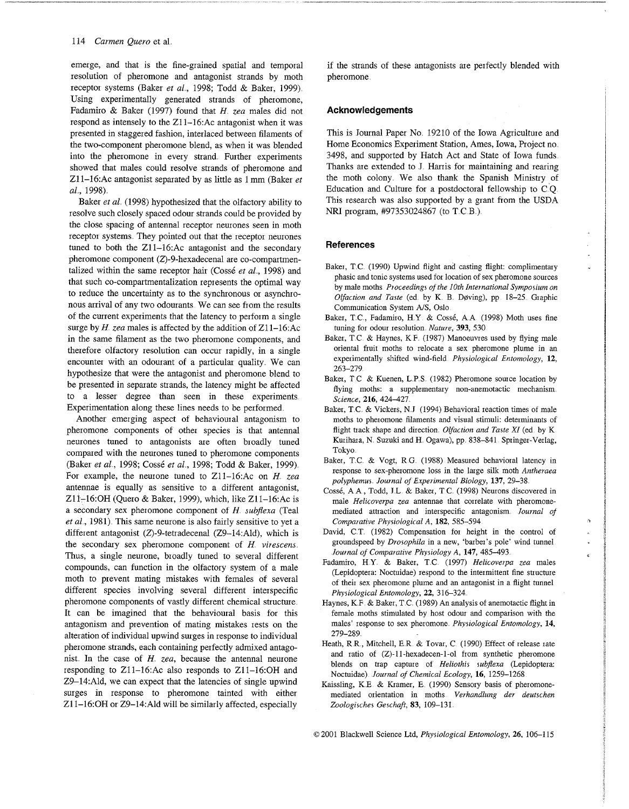emerge, and that is the fine-grained spatial and temporal resolution of pheromone and antagonist strands by moth receptor systems (Baker *et al,* 1998; Todd & Baker, 1999) Using experimentally generated strands of pheromone, Fadamiro & Baker (1997) found that H *zea* males did not respond as intensely to the Zll-16:Ac antagonist when it was presented in staggered fashion, interlaced between filaments of the two-component pheromone blend, as when it was blended into the pheromone in every strand Further experiments showed that males could resolve strands of pheromone and Zll-16:Ac antagonist separated by as little as 1 mm (Baker *et al.*, 1998).

Baker *et al.* (1998) hypothesized that the olfactory ability to resolve such closely spaced odour strands could be provided by the close spacing of antenna1 receptor neurones seen in moth receptor systems. They pointed out that the receptor neurones tuned to both the Zll-16:Ac antagonist and the secondary pheromone component (2)-9-hexadecenal are co-compartmentalized within the same receptor hair (Cossé *et al.*, 1998) and that such co-compartmentalization represents the optimal way to reduce the uncertainty as to the synchronous or asynchronous arrival of any two odourants We can see from the results of the current experiments that the latency to perform a single surge by  $H$  *zea* males is affected by the addition of  $Z11-16$ : Ac in the same filament as the two pheromone components, and therefore olfactory resolution can occur rapidly, in a single encounter with an odourant of a particular quality. We can hypothesize that were the antagonist and pheromone blend to be presented in separate strands, the latency might be affected to a lesser degree than seen in these experiments Experimentation along these lines needs to be performed

Another emerging aspect of behavioural antagonism to pheromone components of other species is that antenna1 newones tuned to antagonists are often broadly tuned compared with the neurones tuned to pheromone components (Baker et al., 1998; Cossé et al., 1998; Todd & Baker, 1999). For example, the neurone tuned to Zll-16:Ac on H *zea*  antennae is equally as sensitive to a different antagonist, Z11-16:OH (Quero & Baker, 1999), which, like Z11-16:Ac is a secondary sex pheromone component of H *subjlexa* (Teal *et a1* , 1981) This same neurone is also fairly sensitive to yet a different antagonist (Z)-9-tetradecenal (Z9-14:Ald), which is the secondary sex pheromone component of H. virescens. Thus, a single neurone, broadly tuned to several different compounds, can function in the olfactory system of a male moth to prevent mating mistakes with females of several different species involving several different interspecific pheromone components of vastly different chemical structure It can be imagined that the behavioural basis for this antagonism and prevention of mating mistakes rests on the alteration of individual upwind surges in response to individual pheromone strands, each containing perfectly admixed antagonist In the case of H *zea,* because the antenna1 neurone responding to Zll-16:Ac also responds to Zll-16:OH and Z9-14:Ald, we can expect that the latencies of single upwind surges in response to pheromone tainted with either Zll-16:OH or Z9-14:Ald will be similarly affected, especially

if the strands of these antagonists are perfectly blended with pheromone

#### **Acknowledgements**

This is Jownal Paper No 19210 of the Iowa Agriculture and Home Economics Experiment Station, Ames, Iowa, Project no 3498, and supported by Hatch Act and State of Iowa funds Thanks are extended to J. Harris for maintaining and rearing the moth colony We also thank the Spanish Ministry of Education and Culture for a postdoctoral fellowship to  $C$ . This research was also supported by a grant from the USDA NRI program, #97353024867 (to T.C.B.).

# **References**

- Baker, T.C. (1990) Upwind flight and casting flight: complimentary phasic and tonic systems used for location of sex pheromone sources by male moths *Proceeding5 oj the 10th International Symposzum on Olfaction and Taste* (ed. by K. B. Døving), pp. 18-25. Graphic Communication System A/S, Oslo
- Baker, T.C., Fadamiro, H.Y. & Cossé, A.A. (1998) Moth uses fine tuning for odour resolution *Nature,* **393,** 530
- Baker, T.C. & Haynes, K.F. (1987) Manoeuvres used by flying male oriental fruit moths to relocate a sex pheromone plume in an experimentally shifted wind-field *Physiological Entomology*, 12, 263-279
- Baker, T.C. & Kuenen, L.P.S. (1982) Pheromone source location by flying moths: a supplementary non-anemotactic mechanism. *Sczence,* **216,** 424-427
- Baker, T.C. & Vickers, N.J. (1994) Behavioral reaction times of male moths to pheromone filaments and visual stimuli: determinants of flight track shape and direction. *Olfaction and Taste XI* (ed. by K. Kurihara, N. Suzuki and H. Ogawa), pp. 838-841 Springer-Verlag, Tokyo
- Baker, T.C. & Vogt, R.G. (1988) Measured behavioral latency in response to sex-pheromone loss in the large silk moth *Antheraea polyphemus Journal oj Exper~mental Biology,* **137,** 29-38
- Cossé, A.A., Todd, J.L. & Baker, T.C. (1998) Neurons discovered in male *Heltcoverpa zea* antennae that correlate with pheromonemediated attraction and interspecific antagonism *Journal oj Comparative Physiological A, 182, 585-594*
- David, CT (1982) Compensation for height in the control of groundspeed by *Drosophila* in a new, 'barber's pole' wind tunnel *Journal of Comparative Physiology A, 147, 485-493.*

é

- Fadamiro, H Y & Baker, T C (1997) *Helzcoverpa zea* males (Lepidoptera: Noctuidae) respond to the intermittent fine structure of their sex pheromone plume and an antagonist in a flight tunnel *Physiological Entomology,* **22,** 316-324
- Haynes, K F & Baker, T C (1989) An analysis of anemotactic flight in female moths stimulated by host odour and comparison with the males' response to sex pheromone. Physiological Entomology, 14, 279-289
- Heath, R.R., Mitchell, E.R. & Tovar, C. (1990) Effect of release rate and ratio of (Z)-11-hexadecen-1-ol from synthetic pheromone blends on trap capture of *Heliothis subflexa* (Lepidoptera: Noctuidae) *Journal oj Chemical Ecology,* **16,** 1259-1268
- Kaissling, KE & Kramer, E (1990) Sensory basis of pheromonemediated orientation in moths *Verhandlung der deutschen*  Zoologisches Geschaft, 83, 109-131.

0 2001 Blackwell Science Ltd, *Physzologzcal Entomology,* **26,** 106-1 15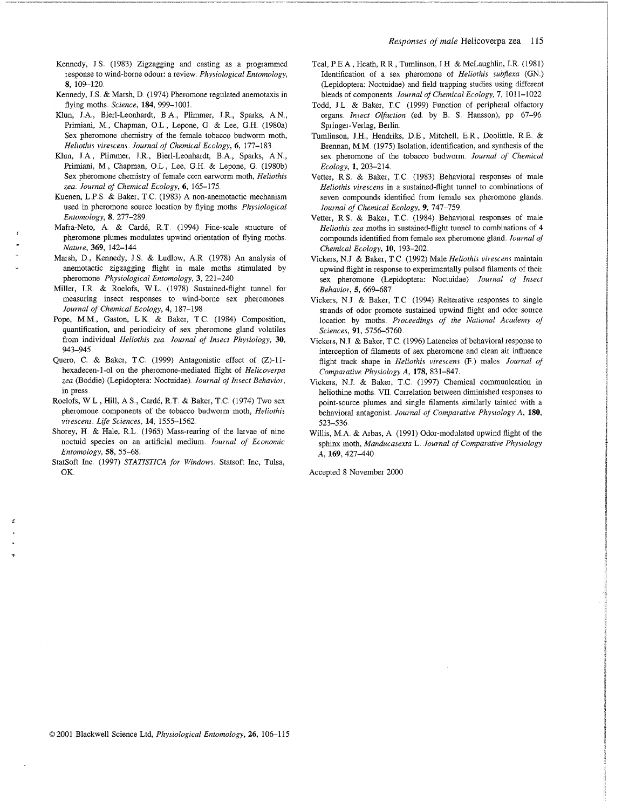- Kennedy, J.S. (1983) Zigzagging and casting as a programmed response to wind-borne odour: a review *Physiological Entomology*, **8,** 109-120
- Kennedy, J.S. & Marsh, D. (1974) Pheromone regulated anemotaxis in flying moths *Science,* **184,** 999-1001
- Klun, J.A., Bierl-Leonhardt, B.A., Plimmer, J.R., Sparks, A.N., Primiani, M., Chapman, O.L., Lepone, G. & Lee, G.H. (1980a) Sex pheromone chemistry of the female tobacco budworm moth, *Heliothis virescens Journal of Chemical Ecology, 6, 177-183*
- Klun, J.A., Plimmer, J.R., Bierl-Leonhardt, B.A., Sparks, A.N., Primiani, M., Chapman, O.L., Lee, G.H. & Lepone, G. (1980b) Sex pheromone chemistry of female corn earworm moth, *Heliothis zea Journal oj Chemzcal Ecology,* **6,** 165-175
- Kuenen, L P S & Baker, T C (1983) A non-anemotactic mechanism used in pheromone source location by flying moths *Physiologicul Entomology,* **8,** 277-289
- Mafra-Neto, A. & Cardé, R.T. (1994) Fine-scale structure of pheromone plumes modulates upwind orientation of flying moths *Nature,* **369,** 142-1 44
- Marsh, D., Kennedy, J.S. & Ludlow, A.R. (1978) An analysis of anemotactic zigzagging flight in male moths stimulated by pheromone *Physiological Entomology*, 3, 221-240
- Miller, J.R. & Roelofs, W.L. (1978) Sustained-flight tunnel for measuring insect responses to wind-borne sex pheromones Journal of Chemical Ecology, 4, 187-198.
- Pope, M.M., Gaston, L.K. & Baker, T.C. (1984) Composition, quantification, and periodicity of sex pheromone gland volatiles from individual *Heliothis zeu Journal oj Insect Physzology, 30,*  943-945
- Quero, C & Baker, TC (1999) Antagonistic effect of (Z)-11 hexadecen-1-ol on the pheromone-mediated flight of *Helicoverpa* zea (Boddie) (Lepidoptera: Noctuidae). *Journal of Insect Behavior*, in press
- Roelofs, W.L., Hill, A.S., Cardé, R.T. & Baker, T.C. (1974) Two sex pheromone components of the tobacco budworm moth, *Heliothis virescens. Life Sciences*, **14**, 1555-1562.
- Shorey, H & Hale, R.L. (1965) Mass-rearing of the larvae of nine noctuid species on an artificial medium *Journal oj Economzc Entomology,* **58,** 55-68
- StatSoft Inc. (1997) *STATISTICA for Windows*. Statsoft Inc, Tulsa, OK
- Teal, P E A , Heath, R R , Tumlinson, J H & McLaughlin, J R (1981) Identification of a sex pheromone of *Heliothis subflexa* (GN.) (Lepidoptera: Noctuidae) and field trapping studies using different blends of components *Journal oj Chemical Ecology,* **7,** 1011-1022
- Todd, J.L. & Baker, T.C. (1999) Function of peripheral olfactory organs. *Insect Olfaction* (ed. by B. S. Hansson), pp 67-96. Springer-Verlag, Berlin.
- Tumlinson, J.H., Hendriks, D.E., Mitchell, E.R., Doolittle, R.E. & Brennan, M.M. (1975) Isolation, identification, and synthesis of the sex pheromone of the tobacco budworm. *Journal of Chemical Ecology,* **1,** 203-214
- Vetter, R.S. & Baker, T.C. (1983) Behavioral responses of male *Heliothis virescens* in a sustained-flight tunnel to combinations of seven compounds identified from female sex pheromone glands *Journal oj Chemical Ecology,* **9,** 747-759
- Vetter, R.S. & Baker, T.C. (1984) Behavioral responses of male Heliothis zea moths in sustained-flight tunnel to combinations of 4 compounds identified from female sex pheromone gland *Journal of Chemical Ecology,* **10,** 193-202
- Vickers, N.J. & Baker, T.C. (1992) Male *Heliothis virescens* maintain upwind flight in response to experimentally pulsed filaments of their sex pheromone (Lepidoptera: Noctuidae) *Journul oj Insect Behavior, 5, 669-687*
- Vickers, N J & Baker, TC (1994) Reiterative responses to single strands of odor promote sustained upwind flight and odor source location by moths. Proceedings of the National Academy of *Sczences,* **91,** 5756-5760
- Vickers, N J & Baker, T C (1996) Latencies of behavioral response to interception of filaments of sex pheromone and clean air influence flight track shape in *Heliothis virescens* (F.) males *Journal of Comparative Physiology A, 178, 831-847.*
- Vickers, N.J. & Baker, T.C. (1997) Chemical communication in heliothine moths. VII. Correlation between diminished responses to point-source plumes and single filaments similarly tainted with a behavioral antagonist *Journal of Comparative Physiology A*, 180, 523-536
- Willis, M.A. & Arbas, A. (1991) Odor-modulated upwind flight of the sphinx moth, *Manducasexta L. Journal of Comparative Physiology A,* **169,** 427-440

Accepted 8 November 2000